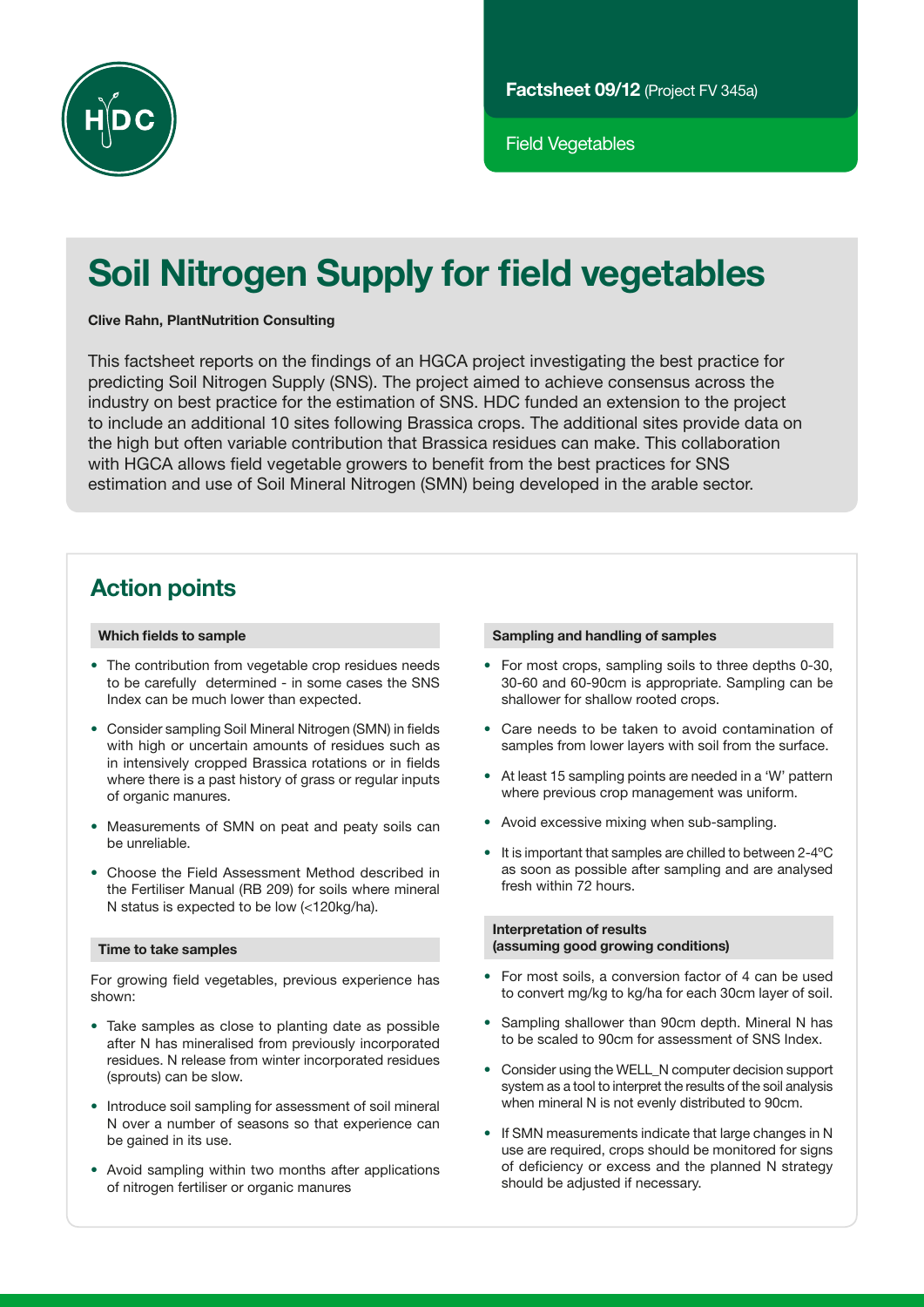

Field Vegetables

# Soil Nitrogen Supply for field vegetables

#### Clive Rahn, PlantNutrition Consulting

This factsheet reports on the findings of an HGCA project investigating the best practice for predicting Soil Nitrogen Supply (SNS). The project aimed to achieve consensus across the industry on best practice for the estimation of SNS. HDC funded an extension to the project to include an additional 10 sites following Brassica crops. The additional sites provide data on the high but often variable contribution that Brassica residues can make. This collaboration with HGCA allows field vegetable growers to benefit from the best practices for SNS estimation and use of Soil Mineral Nitrogen (SMN) being developed in the arable sector.

# Action points

#### Which fields to sample

- The contribution from vegetable crop residues needs to be carefully determined - in some cases the SNS Index can be much lower than expected.
- Consider sampling Soil Mineral Nitrogen (SMN) in fields with high or uncertain amounts of residues such as in intensively cropped Brassica rotations or in fields where there is a past history of grass or regular inputs of organic manures.
- Measurements of SMN on peat and peaty soils can be unreliable.
- • Choose the Field Assessment Method described in the Fertiliser Manual (RB 209) for soils where mineral N status is expected to be low (<120kg/ha).

#### Time to take samples

For growing field vegetables, previous experience has shown:

- Take samples as close to planting date as possible after N has mineralised from previously incorporated residues. N release from winter incorporated residues (sprouts) can be slow.
- Introduce soil sampling for assessment of soil mineral N over a number of seasons so that experience can be gained in its use.
- Avoid sampling within two months after applications of nitrogen fertiliser or organic manures

#### Sampling and handling of samples

- For most crops, sampling soils to three depths 0-30, 30-60 and 60-90cm is appropriate. Sampling can be shallower for shallow rooted crops.
- • Care needs to be taken to avoid contamination of samples from lower layers with soil from the surface.
- At least 15 sampling points are needed in a 'W' pattern where previous crop management was uniform.
- Avoid excessive mixing when sub-sampling.
- $\bullet$  It is important that samples are chilled to between 2-4 $\rm ^{o}C$ as soon as possible after sampling and are analysed fresh within 72 hours.

#### Interpretation of results (assuming good growing conditions)

- For most soils, a conversion factor of 4 can be used to convert mg/kg to kg/ha for each 30cm layer of soil.
- Sampling shallower than 90cm depth. Mineral N has to be scaled to 90cm for assessment of SNS Index.
- • Consider using the WELL\_N computer decision support system as a tool to interpret the results of the soil analysis when mineral N is not evenly distributed to 90cm.
- If SMN measurements indicate that large changes in N use are required, crops should be monitored for signs of deficiency or excess and the planned N strategy should be adjusted if necessary.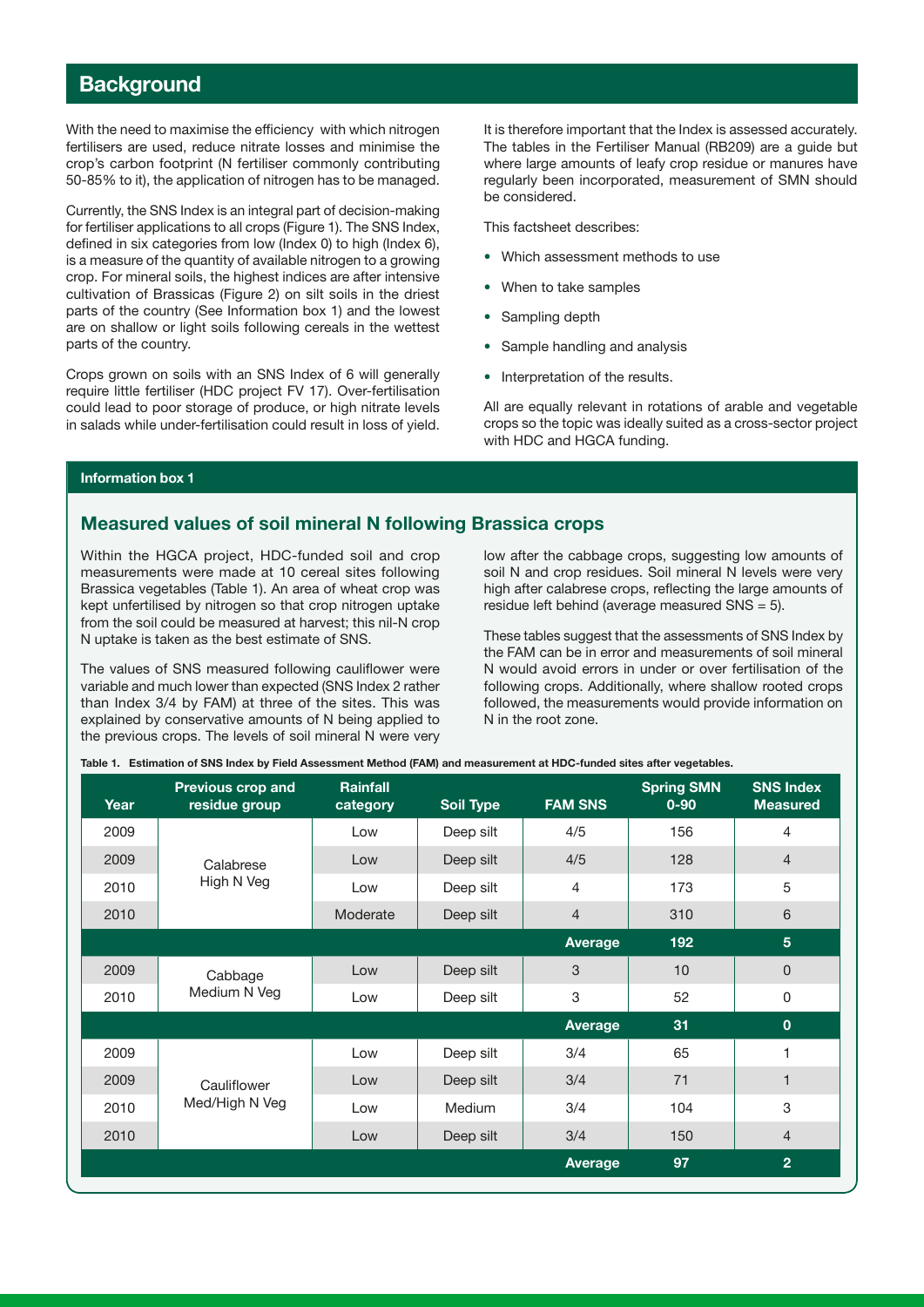# **Background**

With the need to maximise the efficiency with which nitrogen fertilisers are used, reduce nitrate losses and minimise the crop's carbon footprint (N fertiliser commonly contributing 50-85% to it), the application of nitrogen has to be managed.

Currently, the SNS Index is an integral part of decision-making for fertiliser applications to all crops (Figure 1). The SNS Index, defined in six categories from low (Index 0) to high (Index 6), is a measure of the quantity of available nitrogen to a growing crop. For mineral soils, the highest indices are after intensive cultivation of Brassicas (Figure 2) on silt soils in the driest parts of the country (See Information box 1) and the lowest are on shallow or light soils following cereals in the wettest parts of the country.

Crops grown on soils with an SNS Index of 6 will generally require little fertiliser (HDC project FV 17). Over-fertilisation could lead to poor storage of produce, or high nitrate levels in salads while under-fertilisation could result in loss of yield. It is therefore important that the Index is assessed accurately. The tables in the Fertiliser Manual (RB209) are a guide but where large amounts of leafy crop residue or manures have regularly been incorporated, measurement of SMN should be considered.

This factsheet describes:

- Which assessment methods to use
- When to take samples
- Sampling depth
- Sample handling and analysis
- Interpretation of the results.

All are equally relevant in rotations of arable and vegetable crops so the topic was ideally suited as a cross-sector project with HDC and HGCA funding.

#### Information box 1

### Measured values of soil mineral N following Brassica crops

Within the HGCA project, HDC-funded soil and crop measurements were made at 10 cereal sites following Brassica vegetables (Table 1). An area of wheat crop was kept unfertilised by nitrogen so that crop nitrogen uptake from the soil could be measured at harvest; this nil-N crop N uptake is taken as the best estimate of SNS.

The values of SNS measured following cauliflower were variable and much lower than expected (SNS Index 2 rather than Index 3/4 by FAM) at three of the sites. This was explained by conservative amounts of N being applied to the previous crops. The levels of soil mineral N were very low after the cabbage crops, suggesting low amounts of soil N and crop residues. Soil mineral N levels were very high after calabrese crops, reflecting the large amounts of residue left behind (average measured  $SNS = 5$ ).

These tables suggest that the assessments of SNS Index by the FAM can be in error and measurements of soil mineral N would avoid errors in under or over fertilisation of the following crops. Additionally, where shallow rooted crops followed, the measurements would provide information on N in the root zone.

|  |  |  | Table 1. Estimation of SNS Index by Field Assessment Method (FAM) and measurement at HDC-funded sites after vegetables. |  |
|--|--|--|-------------------------------------------------------------------------------------------------------------------------|--|
|--|--|--|-------------------------------------------------------------------------------------------------------------------------|--|

| Year | <b>Previous crop and</b><br>residue group | Rainfall<br>category | <b>Soil Type</b> | <b>FAM SNS</b> | <b>Spring SMN</b><br>$0 - 90$ | <b>SNS Index</b><br><b>Measured</b> |
|------|-------------------------------------------|----------------------|------------------|----------------|-------------------------------|-------------------------------------|
| 2009 |                                           | Low                  | Deep silt        | 4/5            | 156                           | 4                                   |
| 2009 | Calabrese                                 | Low                  | Deep silt        | 4/5            | 128                           | $\overline{4}$                      |
| 2010 | High N Veg                                | Low                  | Deep silt        | 4              | 173                           | 5                                   |
| 2010 |                                           | Moderate             | Deep silt        | $\overline{4}$ | 310                           | 6                                   |
|      |                                           |                      |                  | Average        | 192                           | $5\phantom{.}$                      |
| 2009 | Cabbage                                   | Low                  | Deep silt        | 3              | 10                            | $\mathbf{0}$                        |
| 2010 | Medium N Veg                              | Low                  | Deep silt        | 3              | 52                            | 0                                   |
|      |                                           |                      |                  | <b>Average</b> | 31                            | $\mathbf 0$                         |
| 2009 |                                           | Low                  | Deep silt        | 3/4            | 65                            | 1                                   |
| 2009 | Cauliflower                               | Low                  | Deep silt        | 3/4            | 71                            | $\blacksquare$                      |
| 2010 | Med/High N Veg                            | Low                  | <b>Medium</b>    | 3/4            | 104                           | 3                                   |
| 2010 |                                           | Low                  | Deep silt        | 3/4            | 150                           | $\overline{4}$                      |
|      |                                           |                      |                  | <b>Average</b> | 97                            | $\overline{2}$                      |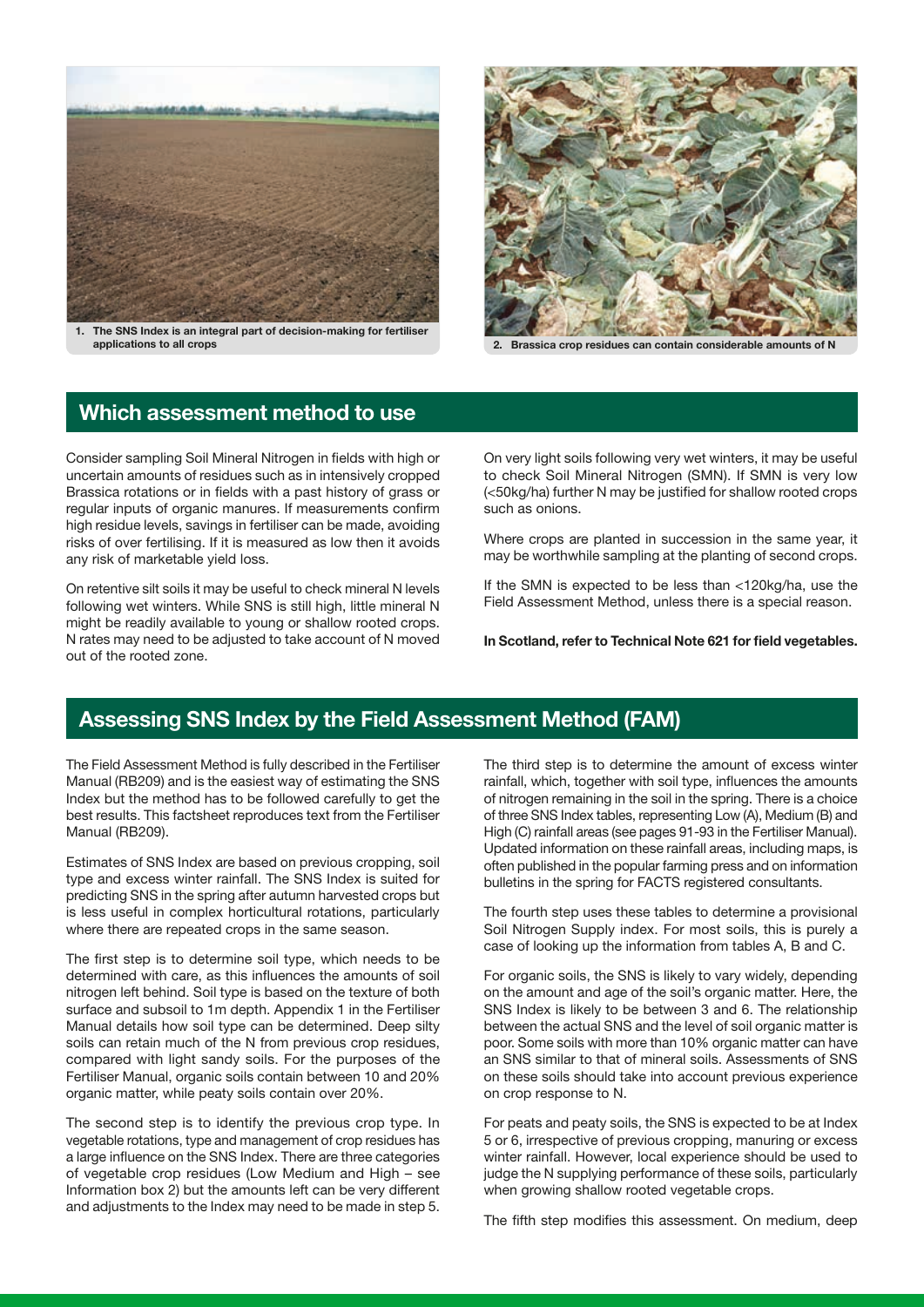

1. The SNS Index is an integral part of decision-making for fertiliser applications to all crops 2. Brassica crop residues can contain considerable amounts of N



# Which assessment method to use

Consider sampling Soil Mineral Nitrogen in fields with high or uncertain amounts of residues such as in intensively cropped Brassica rotations or in fields with a past history of grass or regular inputs of organic manures. If measurements confirm high residue levels, savings in fertiliser can be made, avoiding risks of over fertilising. If it is measured as low then it avoids any risk of marketable yield loss.

On retentive silt soils it may be useful to check mineral N levels following wet winters. While SNS is still high, little mineral N might be readily available to young or shallow rooted crops. N rates may need to be adjusted to take account of N moved out of the rooted zone.

On very light soils following very wet winters, it may be useful to check Soil Mineral Nitrogen (SMN). If SMN is very low (<50kg/ha) further N may be justified for shallow rooted crops such as onions.

Where crops are planted in succession in the same year, it may be worthwhile sampling at the planting of second crops.

If the SMN is expected to be less than <120kg/ha, use the Field Assessment Method, unless there is a special reason.

In Scotland, refer to Technical Note 621 for field vegetables.

# Assessing SNS Index by the Field Assessment Method (FAM)

The Field Assessment Method is fully described in the Fertiliser Manual (RB209) and is the easiest way of estimating the SNS Index but the method has to be followed carefully to get the best results. This factsheet reproduces text from the Fertiliser Manual (RB209).

Estimates of SNS Index are based on previous cropping, soil type and excess winter rainfall. The SNS Index is suited for predicting SNS in the spring after autumn harvested crops but is less useful in complex horticultural rotations, particularly where there are repeated crops in the same season.

The first step is to determine soil type, which needs to be determined with care, as this influences the amounts of soil nitrogen left behind. Soil type is based on the texture of both surface and subsoil to 1m depth. Appendix 1 in the Fertiliser Manual details how soil type can be determined. Deep silty soils can retain much of the N from previous crop residues, compared with light sandy soils. For the purposes of the Fertiliser Manual, organic soils contain between 10 and 20% organic matter, while peaty soils contain over 20%.

The second step is to identify the previous crop type. In vegetable rotations, type and management of crop residues has a large influence on the SNS Index. There are three categories of vegetable crop residues (Low Medium and High – see Information box 2) but the amounts left can be very different and adjustments to the Index may need to be made in step 5. The third step is to determine the amount of excess winter rainfall, which, together with soil type, influences the amounts of nitrogen remaining in the soil in the spring. There is a choice of three SNS Index tables, representing Low (A), Medium (B) and High (C) rainfall areas (see pages 91-93 in the Fertiliser Manual). Updated information on these rainfall areas, including maps, is often published in the popular farming press and on information bulletins in the spring for FACTS registered consultants.

The fourth step uses these tables to determine a provisional Soil Nitrogen Supply index. For most soils, this is purely a case of looking up the information from tables A, B and C.

For organic soils, the SNS is likely to vary widely, depending on the amount and age of the soil's organic matter. Here, the SNS Index is likely to be between 3 and 6. The relationship between the actual SNS and the level of soil organic matter is poor. Some soils with more than 10% organic matter can have an SNS similar to that of mineral soils. Assessments of SNS on these soils should take into account previous experience on crop response to N.

For peats and peaty soils, the SNS is expected to be at Index 5 or 6, irrespective of previous cropping, manuring or excess winter rainfall. However, local experience should be used to judge the N supplying performance of these soils, particularly when growing shallow rooted vegetable crops.

The fifth step modifies this assessment. On medium, deep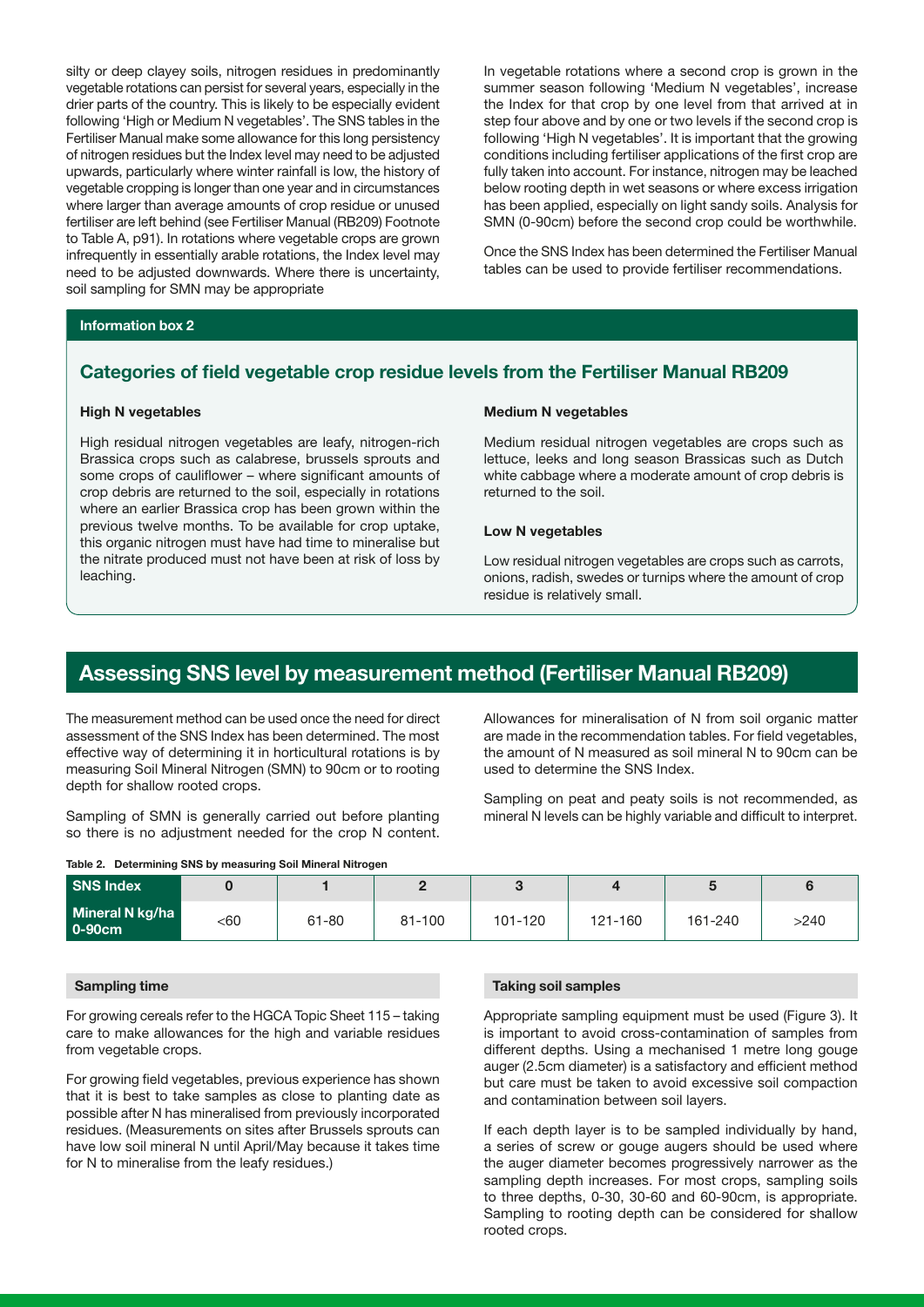silty or deep clayey soils, nitrogen residues in predominantly vegetable rotations can persist for several years, especially in the drier parts of the country. This is likely to be especially evident following 'High or Medium N vegetables'. The SNS tables in the Fertiliser Manual make some allowance for this long persistency of nitrogen residues but the Index level may need to be adjusted upwards, particularly where winter rainfall is low, the history of vegetable cropping is longer than one year and in circumstances where larger than average amounts of crop residue or unused fertiliser are left behind (see Fertiliser Manual (RB209) Footnote to Table A, p91). In rotations where vegetable crops are grown infrequently in essentially arable rotations, the Index level may need to be adjusted downwards. Where there is uncertainty, soil sampling for SMN may be appropriate

In vegetable rotations where a second crop is grown in the summer season following 'Medium N vegetables', increase the Index for that crop by one level from that arrived at in step four above and by one or two levels if the second crop is following 'High N vegetables'. It is important that the growing conditions including fertiliser applications of the first crop are fully taken into account. For instance, nitrogen may be leached below rooting depth in wet seasons or where excess irrigation has been applied, especially on light sandy soils. Analysis for SMN (0-90cm) before the second crop could be worthwhile.

Once the SNS Index has been determined the Fertiliser Manual tables can be used to provide fertiliser recommendations.

#### Information box 2

### Categories of field vegetable crop residue levels from the Fertiliser Manual RB209

#### High N vegetables

High residual nitrogen vegetables are leafy, nitrogen-rich Brassica crops such as calabrese, brussels sprouts and some crops of cauliflower – where significant amounts of crop debris are returned to the soil, especially in rotations where an earlier Brassica crop has been grown within the previous twelve months. To be available for crop uptake, this organic nitrogen must have had time to mineralise but the nitrate produced must not have been at risk of loss by leaching.

#### Medium N vegetables

Medium residual nitrogen vegetables are crops such as lettuce, leeks and long season Brassicas such as Dutch white cabbage where a moderate amount of crop debris is returned to the soil.

#### Low N vegetables

Low residual nitrogen vegetables are crops such as carrots, onions, radish, swedes or turnips where the amount of crop residue is relatively small.

# Assessing SNS level by measurement method (Fertiliser Manual RB209)

The measurement method can be used once the need for direct assessment of the SNS Index has been determined. The most effective way of determining it in horticultural rotations is by measuring Soil Mineral Nitrogen (SMN) to 90cm or to rooting depth for shallow rooted crops.

Sampling of SMN is generally carried out before planting so there is no adjustment needed for the crop N content.

|  | Table 2. Determining SNS by measuring Soil Mineral Nitrogen |  |  |  |  |  |
|--|-------------------------------------------------------------|--|--|--|--|--|
|--|-------------------------------------------------------------|--|--|--|--|--|

Allowances for mineralisation of N from soil organic matter are made in the recommendation tables. For field vegetables, the amount of N measured as soil mineral N to 90cm can be used to determine the SNS Index.

Sampling on peat and peaty soils is not recommended, as mineral N levels can be highly variable and difficult to interpret.

| SNS Index                 |     |       |        |         |         |         |      |
|---------------------------|-----|-------|--------|---------|---------|---------|------|
| Mineral N kg/ha<br>0-90cm | <60 | 61-80 | 81-100 | 101-120 | 121-160 | 161-240 | >240 |

#### Sampling time

For growing cereals refer to the HGCA Topic Sheet 115 – taking care to make allowances for the high and variable residues from vegetable crops.

For growing field vegetables, previous experience has shown that it is best to take samples as close to planting date as possible after N has mineralised from previously incorporated residues. (Measurements on sites after Brussels sprouts can have low soil mineral N until April/May because it takes time for N to mineralise from the leafy residues.)

#### Taking soil samples

Appropriate sampling equipment must be used (Figure 3). It is important to avoid cross-contamination of samples from different depths. Using a mechanised 1 metre long gouge auger (2.5cm diameter) is a satisfactory and efficient method but care must be taken to avoid excessive soil compaction and contamination between soil layers.

If each depth layer is to be sampled individually by hand, a series of screw or gouge augers should be used where the auger diameter becomes progressively narrower as the sampling depth increases. For most crops, sampling soils to three depths, 0-30, 30-60 and 60-90cm, is appropriate. Sampling to rooting depth can be considered for shallow rooted crops.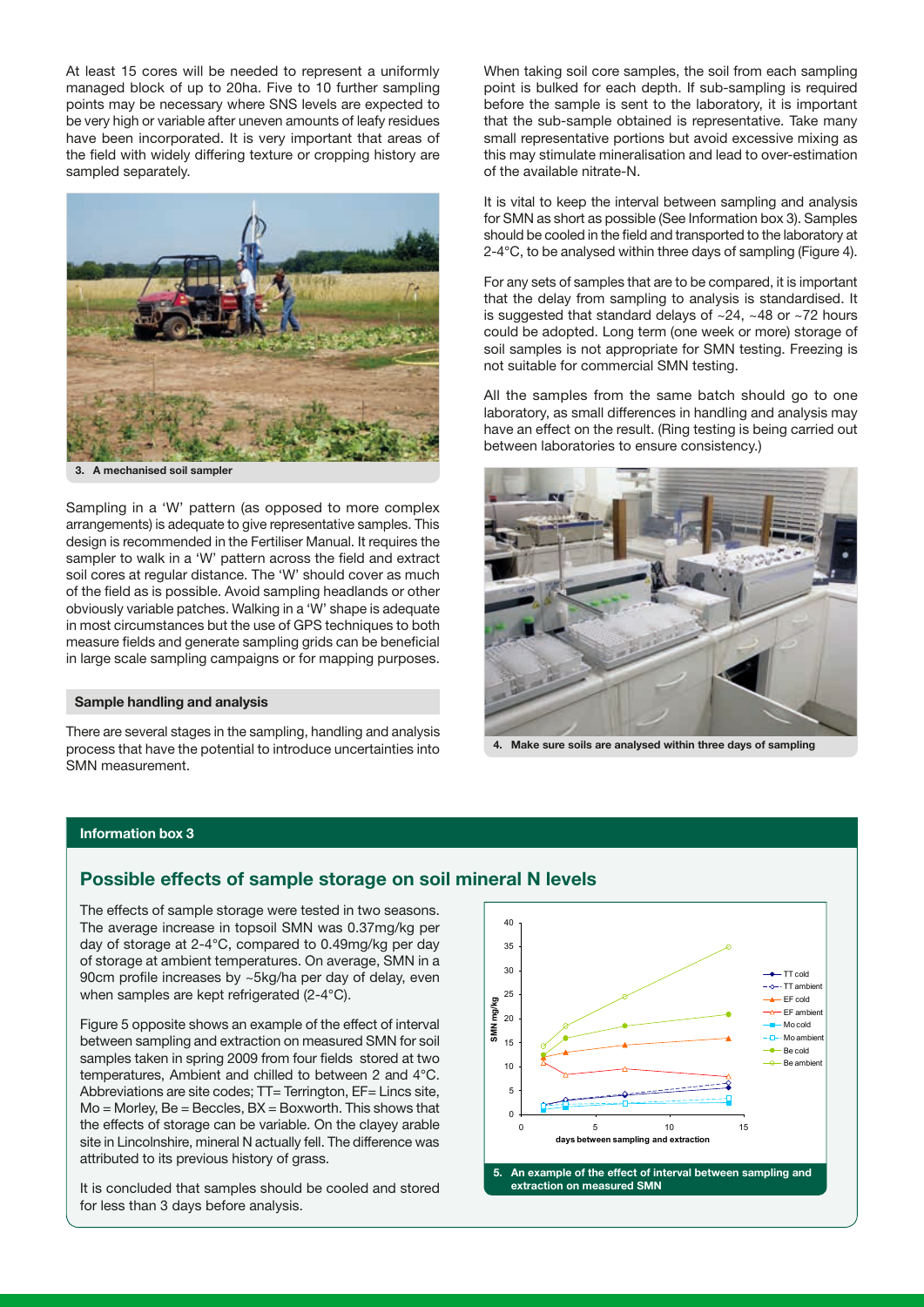At least 15 cores will be needed to represent a uniformly managed block of up to 20ha. Five to 10 further sampling points may be necessary where SNS levels are expected to be very high or variable after uneven amounts of leafy residues have been incorporated. It is very important that areas of the field with widely differing texture or cropping history are sampled separately.



A mechanised soil sampler

Sampling in a 'W' pattern (as opposed to more complex arrangements) is adequate to give representative samples. This design is recommended in the Fertiliser Manual. It requires the sampler to walk in a 'W' pattern across the field and extract soil cores at regular distance. The 'W' should cover as much of the field as is possible. Avoid sampling headlands or other obviously variable patches. Walking in a 'W' shape is adequate in most circumstances but the use of GPS techniques to both measure fields and generate sampling grids can be beneficial in large scale sampling campaigns or for mapping purposes.

#### Sample handling and analysis

There are several stages in the sampling, handling and analysis process that have the potential to introduce uncertainties into SMN measurement.

When taking soil core samples, the soil from each sampling point is bulked for each depth. If sub-sampling is required before the sample is sent to the laboratory, it is important that the sub-sample obtained is representative. Take many small representative portions but avoid excessive mixing as this may stimulate mineralisation and lead to over-estimation of the available nitrate-N.

It is vital to keep the interval between sampling and analysis for SMN as short as possible (See Information box 3). Samples should be cooled in the field and transported to the laboratory at 2-4°C, to be analysed within three days of sampling (Figure 4).

For any sets of samples that are to be compared, it is important that the delay from sampling to analysis is standardised. It is suggested that standard delays of ~24, ~48 or ~72 hours could be adopted. Long term (one week or more) storage of soil samples is not appropriate for SMN testing. Freezing is not suitable for commercial SMN testing.

All the samples from the same batch should go to one laboratory, as small differences in handling and analysis may have an effect on the result. (Ring testing is being carried out between laboratories to ensure consistency.)



4. Make sure soils are analysed within three days of sampling

#### Information box 3

### Possible effects of sample storage on soil mineral N levels

The effects of sample storage were tested in two seasons. The average increase in topsoil SMN was 0.37mg/kg per day of storage at 2-4°C, compared to 0.49mg/kg per day of storage at ambient temperatures. On average, SMN in a 90cm profile increases by ~5kg/ha per day of delay, even when samples are kept refrigerated (2-4°C).

Figure 5 opposite shows an example of the effect of interval between sampling and extraction on measured SMN for soil samples taken in spring 2009 from four fields stored at two temperatures, Ambient and chilled to between 2 and 4°C. Abbreviations are site codes; TT= Terrington, EF= Lincs site, Mo = Morley, Be = Beccles, BX = Boxworth. This shows that the effects of storage can be variable. On the clayey arable site in Lincolnshire, mineral N actually fell. The difference was attributed to its previous history of grass.

It is concluded that samples should be cooled and stored for less than 3 days before analysis.

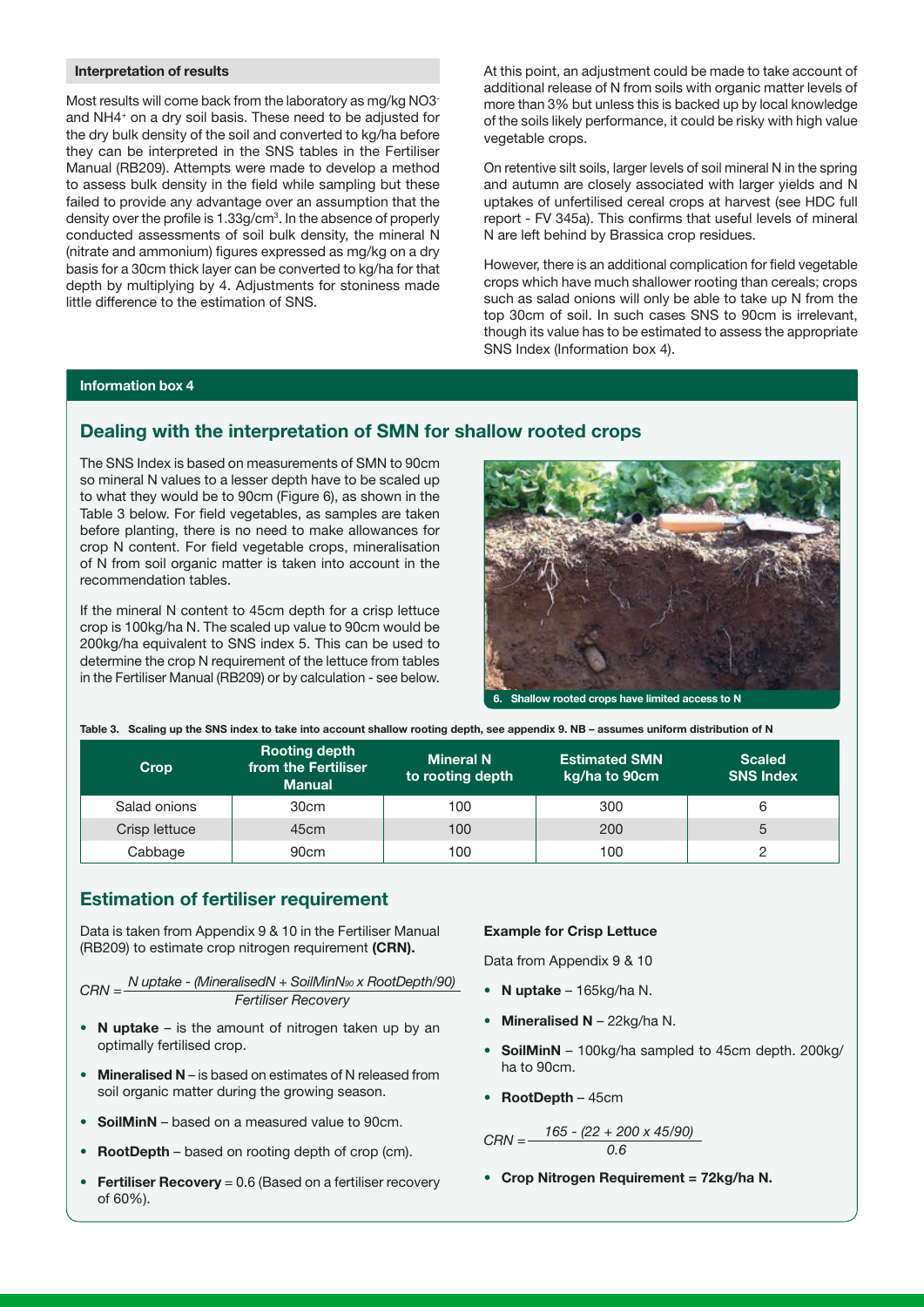#### Interpretation of results

Most results will come back from the laboratory as mg/kg NO3and NH4+ on a dry soil basis. These need to be adjusted for the dry bulk density of the soil and converted to kg/ha before they can be interpreted in the SNS tables in the Fertiliser Manual (RB209). Attempts were made to develop a method to assess bulk density in the field while sampling but these failed to provide any advantage over an assumption that the density over the profile is 1.33g/cm<sup>3</sup>. In the absence of properly conducted assessments of soil bulk density, the mineral N (nitrate and ammonium) figures expressed as mg/kg on a dry basis for a 30cm thick layer can be converted to kg/ha for that depth by multiplying by 4. Adjustments for stoniness made little difference to the estimation of SNS.

At this point, an adjustment could be made to take account of additional release of N from soils with organic matter levels of more than 3% but unless this is backed up by local knowledge of the soils likely performance, it could be risky with high value vegetable crops.

On retentive silt soils, larger levels of soil mineral N in the spring and autumn are closely associated with larger yields and N uptakes of unfertilised cereal crops at harvest (see HDC full report - FV 345a). This confirms that useful levels of mineral N are left behind by Brassica crop residues.

However, there is an additional complication for field vegetable crops which have much shallower rooting than cereals; crops such as salad onions will only be able to take up N from the top 30cm of soil. In such cases SNS to 90cm is irrelevant, though its value has to be estimated to assess the appropriate SNS Index (Information box 4).

#### Information box 4

### Dealing with the interpretation of SMN for shallow rooted crops

The SNS Index is based on measurements of SMN to 90cm so mineral N values to a lesser depth have to be scaled up to what they would be to 90cm (Figure 6), as shown in the Table 3 below. For field vegetables, as samples are taken before planting, there is no need to make allowances for crop N content. For field vegetable crops, mineralisation of N from soil organic matter is taken into account in the recommendation tables.

If the mineral N content to 45cm depth for a crisp lettuce crop is 100kg/ha N. The scaled up value to 90cm would be 200kg/ha equivalent to SNS index 5. This can be used to determine the crop N requirement of the lettuce from tables in the Fertiliser Manual (RB209) or by calculation - see below.



|  |  |  | Table 3. Scaling up the SNS index to take into account shallow rooting depth, see appendix 9. NB - assumes uniform distribution of N |
|--|--|--|--------------------------------------------------------------------------------------------------------------------------------------|
|--|--|--|--------------------------------------------------------------------------------------------------------------------------------------|

| Crop          | <b>Rooting depth</b><br>from the Fertiliser<br><b>Manual</b> | <b>Mineral N</b><br>to rooting depth | <b>Estimated SMN</b><br>kg/ha to 90cm | <b>Scaled</b><br><b>SNS Index</b> |
|---------------|--------------------------------------------------------------|--------------------------------------|---------------------------------------|-----------------------------------|
| Salad onions  | 30 <sub>cm</sub>                                             | 100                                  | 300                                   |                                   |
| Crisp lettuce | 45 <sub>cm</sub>                                             | 100                                  | 200                                   | 5                                 |
| Cabbage       | 90 <sub>cm</sub>                                             | 100                                  | 100                                   |                                   |

### Estimation of fertiliser requirement

Data is taken from Appendix 9 & 10 in the Fertiliser Manual (RB209) to estimate crop nitrogen requirement (CRN).

 $CRN = \frac{N \text{ uptake} - (MineralisedN + SoilMinNs_0 \times RootDepth/90)}{N}$ Fertiliser Recovery

- N uptake is the amount of nitrogen taken up by an optimally fertilised crop.
- Mineralised N is based on estimates of N released from soil organic matter during the growing season.
- SoilMinN based on a measured value to 90cm.
- **RootDepth** based on rooting depth of crop (cm).
- Fertiliser Recovery =  $0.6$  (Based on a fertiliser recovery of 60%).

#### Example for Crisp Lettuce

Data from Appendix 9 & 10

- N uptake 165kg/ha N.
- Mineralised  $N 22kq/ha N$ .
- SoilMinN 100kg/ha sampled to 45cm depth. 200kg/ ha to 90cm.
- RootDepth 45cm

$$
CRN = \frac{165 - (22 + 200 \times 45/90)}{0.6}
$$

• Crop Nitrogen Requirement = 72kg/ha N.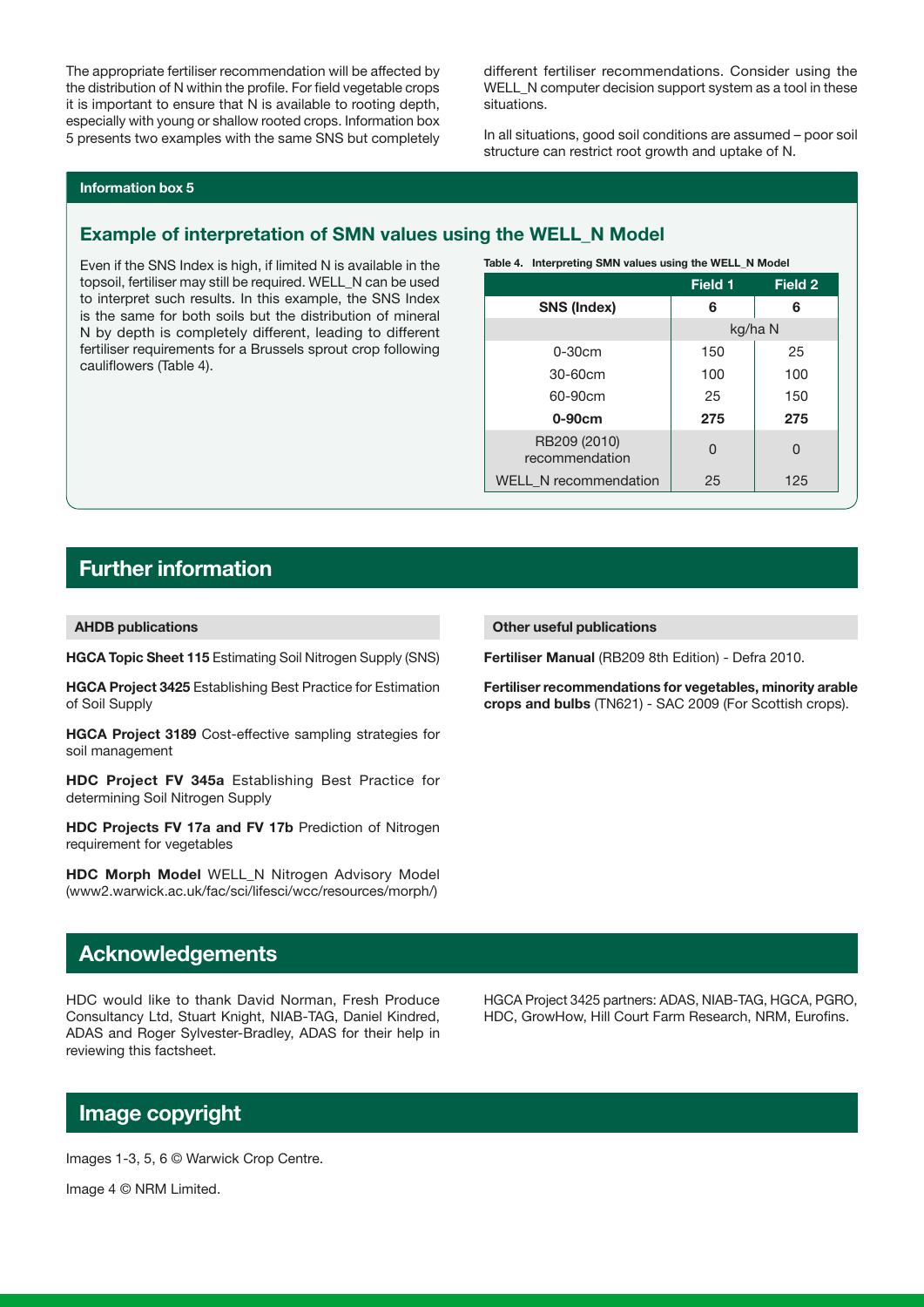The appropriate fertiliser recommendation will be affected by the distribution of N within the profile. For field vegetable crops it is important to ensure that N is available to rooting depth, especially with young or shallow rooted crops. Information box 5 presents two examples with the same SNS but completely different fertiliser recommendations. Consider using the WELL\_N computer decision support system as a tool in these situations.

In all situations, good soil conditions are assumed – poor soil structure can restrict root growth and uptake of N.

#### Information box 5

### Example of interpretation of SMN values using the WELL\_N Model

Even if the SNS Index is high, if limited N is available in the topsoil, fertiliser may still be required. WELL\_N can be used to interpret such results. In this example, the SNS Index is the same for both soils but the distribution of mineral N by depth is completely different, leading to different fertiliser requirements for a Brussels sprout crop following cauliflowers (Table 4).

Table 4. Interpreting SMN values using the WELL\_N Model

|                                | Field 1 | Field 2 |
|--------------------------------|---------|---------|
| <b>SNS (Index)</b>             | 6       | 6       |
|                                | kg/ha N |         |
| $0-30cm$                       | 150     | 25      |
| 30-60cm                        | 100     | 100     |
| 60-90cm                        | 25      | 150     |
| $0-90cm$                       | 275     | 275     |
| RB209 (2010)<br>recommendation | U       | O       |
| WELL_N recommendation          | 25      | 125     |

# Further information

AHDB publications

HGCA Topic Sheet 115 Estimating Soil Nitrogen Supply (SNS)

HGCA Project 3425 Establishing Best Practice for Estimation of Soil Supply

HGCA Project 3189 Cost-effective sampling strategies for soil management

HDC Project FV 345a Establishing Best Practice for determining Soil Nitrogen Supply

HDC Projects FV 17a and FV 17b Prediction of Nitrogen requirement for vegetables

HDC Morph Model WELL\_N Nitrogen Advisory Model (www2.warwick.ac.uk/fac/sci/lifesci/wcc/resources/morph/)

#### Other useful publications

Fertiliser Manual (RB209 8th Edition) - Defra 2010.

Fertiliser recommendations for vegetables, minority arable crops and bulbs (TN621) - SAC 2009 (For Scottish crops).

## Acknowledgements

HDC would like to thank David Norman, Fresh Produce Consultancy Ltd, Stuart Knight, NIAB-TAG, Daniel Kindred, ADAS and Roger Sylvester-Bradley, ADAS for their help in reviewing this factsheet.

HGCA Project 3425 partners: ADAS, NIAB-TAG, HGCA, PGRO, HDC, GrowHow, Hill Court Farm Research, NRM, Eurofins.

# Image copyright

Images 1-3, 5, 6 © Warwick Crop Centre.

Image 4 © NRM Limited.